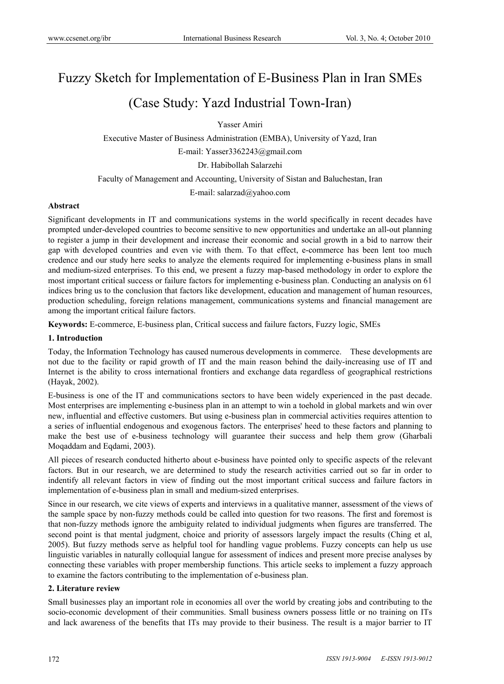# Fuzzy Sketch for Implementation of E-Business Plan in Iran SMEs (Case Study: Yazd Industrial Town-Iran)

Yasser Amiri

Executive Master of Business Administration (EMBA), University of Yazd, Iran

E-mail: Yasser3362243@gmail.com

Dr. Habibollah Salarzehi

Faculty of Management and Accounting, University of Sistan and Baluchestan, Iran

E-mail: salarzad@yahoo.com

## **Abstract**

Significant developments in IT and communications systems in the world specifically in recent decades have prompted under-developed countries to become sensitive to new opportunities and undertake an all-out planning to register a jump in their development and increase their economic and social growth in a bid to narrow their gap with developed countries and even vie with them. To that effect, e-commerce has been lent too much credence and our study here seeks to analyze the elements required for implementing e-business plans in small and medium-sized enterprises. To this end, we present a fuzzy map-based methodology in order to explore the most important critical success or failure factors for implementing e-business plan. Conducting an analysis on 61 indices bring us to the conclusion that factors like development, education and management of human resources, production scheduling, foreign relations management, communications systems and financial management are among the important critical failure factors.

**Keywords:** E-commerce, E-business plan, Critical success and failure factors, Fuzzy logic, SMEs

## **1. Introduction**

Today, the Information Technology has caused numerous developments in commerce. These developments are not due to the facility or rapid growth of IT and the main reason behind the daily-increasing use of IT and Internet is the ability to cross international frontiers and exchange data regardless of geographical restrictions (Hayak, 2002).

E-business is one of the IT and communications sectors to have been widely experienced in the past decade. Most enterprises are implementing e-business plan in an attempt to win a toehold in global markets and win over new, influential and effective customers. But using e-business plan in commercial activities requires attention to a series of influential endogenous and exogenous factors. The enterprises' heed to these factors and planning to make the best use of e-business technology will guarantee their success and help them grow (Gharbali Moqaddam and Eqdami, 2003).

All pieces of research conducted hitherto about e-business have pointed only to specific aspects of the relevant factors. But in our research, we are determined to study the research activities carried out so far in order to indentify all relevant factors in view of finding out the most important critical success and failure factors in implementation of e-business plan in small and medium-sized enterprises.

Since in our research, we cite views of experts and interviews in a qualitative manner, assessment of the views of the sample space by non-fuzzy methods could be called into question for two reasons. The first and foremost is that non-fuzzy methods ignore the ambiguity related to individual judgments when figures are transferred. The second point is that mental judgment, choice and priority of assessors largely impact the results (Ching et al, 2005). But fuzzy methods serve as helpful tool for handling vague problems. Fuzzy concepts can help us use linguistic variables in naturally colloquial langue for assessment of indices and present more precise analyses by connecting these variables with proper membership functions. This article seeks to implement a fuzzy approach to examine the factors contributing to the implementation of e-business plan.

#### **2. Literature review**

Small businesses play an important role in economies all over the world by creating jobs and contributing to the socio-economic development of their communities. Small business owners possess little or no training on ITs and lack awareness of the benefits that ITs may provide to their business. The result is a major barrier to IT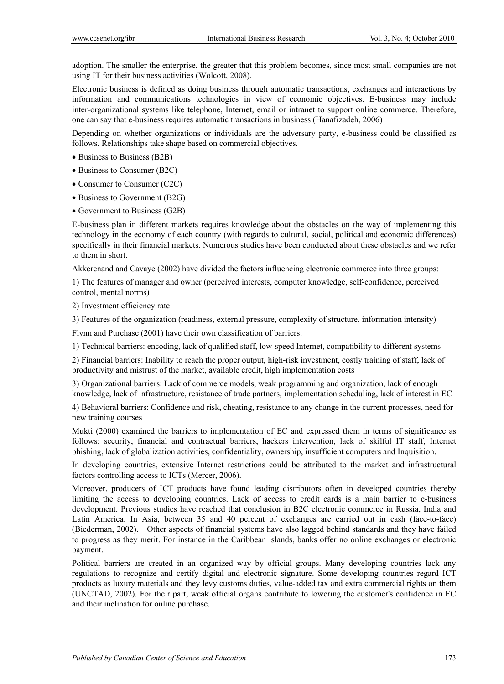adoption. The smaller the enterprise, the greater that this problem becomes, since most small companies are not using IT for their business activities (Wolcott, 2008).

Electronic business is defined as doing business through automatic transactions, exchanges and interactions by information and communications technologies in view of economic objectives. E-business may include inter-organizational systems like telephone, Internet, email or intranet to support online commerce. Therefore, one can say that e-business requires automatic transactions in business (Hanafizadeh, 2006)

Depending on whether organizations or individuals are the adversary party, e-business could be classified as follows. Relationships take shape based on commercial objectives.

- Business to Business (B2B)
- Business to Consumer (B2C)
- Consumer to Consumer (C2C)
- Business to Government (B2G)
- Government to Business (G2B)

E-business plan in different markets requires knowledge about the obstacles on the way of implementing this technology in the economy of each country (with regards to cultural, social, political and economic differences) specifically in their financial markets. Numerous studies have been conducted about these obstacles and we refer to them in short.

Akkerenand and Cavaye (2002) have divided the factors influencing electronic commerce into three groups:

1) The features of manager and owner (perceived interests, computer knowledge, self-confidence, perceived control, mental norms)

2) Investment efficiency rate

3) Features of the organization (readiness, external pressure, complexity of structure, information intensity)

Flynn and Purchase (2001) have their own classification of barriers:

1) Technical barriers: encoding, lack of qualified staff, low-speed Internet, compatibility to different systems

2) Financial barriers: Inability to reach the proper output, high-risk investment, costly training of staff, lack of productivity and mistrust of the market, available credit, high implementation costs

3) Organizational barriers: Lack of commerce models, weak programming and organization, lack of enough knowledge, lack of infrastructure, resistance of trade partners, implementation scheduling, lack of interest in EC

4) Behavioral barriers: Confidence and risk, cheating, resistance to any change in the current processes, need for new training courses

Mukti (2000) examined the barriers to implementation of EC and expressed them in terms of significance as follows: security, financial and contractual barriers, hackers intervention, lack of skilful IT staff, Internet phishing, lack of globalization activities, confidentiality, ownership, insufficient computers and Inquisition.

In developing countries, extensive Internet restrictions could be attributed to the market and infrastructural factors controlling access to ICTs (Mercer, 2006).

Moreover, producers of ICT products have found leading distributors often in developed countries thereby limiting the access to developing countries. Lack of access to credit cards is a main barrier to e-business development. Previous studies have reached that conclusion in B2C electronic commerce in Russia, India and Latin America. In Asia, between 35 and 40 percent of exchanges are carried out in cash (face-to-face) (Biederman, 2002). Other aspects of financial systems have also lagged behind standards and they have failed to progress as they merit. For instance in the Caribbean islands, banks offer no online exchanges or electronic payment.

Political barriers are created in an organized way by official groups. Many developing countries lack any regulations to recognize and certify digital and electronic signature. Some developing countries regard ICT products as luxury materials and they levy customs duties, value-added tax and extra commercial rights on them (UNCTAD, 2002). For their part, weak official organs contribute to lowering the customer's confidence in EC and their inclination for online purchase.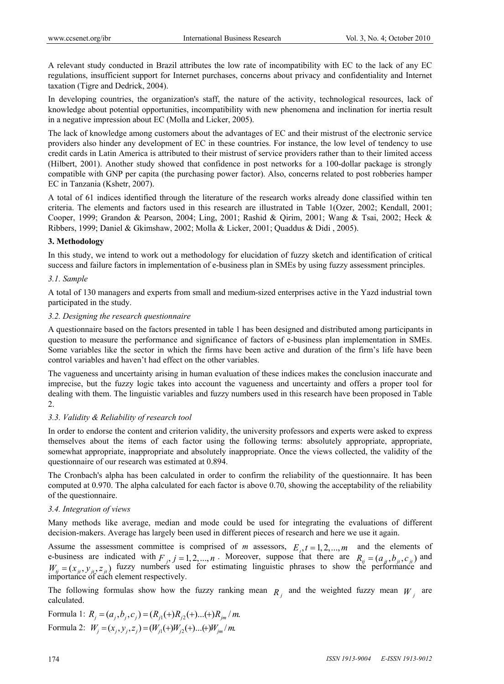A relevant study conducted in Brazil attributes the low rate of incompatibility with EC to the lack of any EC regulations, insufficient support for Internet purchases, concerns about privacy and confidentiality and Internet taxation (Tigre and Dedrick, 2004).

In developing countries, the organization's staff, the nature of the activity, technological resources, lack of knowledge about potential opportunities, incompatibility with new phenomena and inclination for inertia result in a negative impression about EC (Molla and Licker, 2005).

The lack of knowledge among customers about the advantages of EC and their mistrust of the electronic service providers also hinder any development of EC in these countries. For instance, the low level of tendency to use credit cards in Latin America is attributed to their mistrust of service providers rather than to their limited access (Hilbert, 2001). Another study showed that confidence in post networks for a 100-dollar package is strongly compatible with GNP per capita (the purchasing power factor). Also, concerns related to post robberies hamper EC in Tanzania (Kshetr, 2007).

A total of 61 indices identified through the literature of the research works already done classified within ten criteria. The elements and factors used in this research are illustrated in Table 1(Ozer, 2002; Kendall, 2001; Cooper, 1999; Grandon & Pearson, 2004; Ling, 2001; Rashid & Qirim, 2001; Wang & Tsai, 2002; Heck & Ribbers, 1999; Daniel & Gkimshaw, 2002; Molla & Licker, 2001; Quaddus & Didi , 2005).

## **3. Methodology**

In this study, we intend to work out a methodology for elucidation of fuzzy sketch and identification of critical success and failure factors in implementation of e-business plan in SMEs by using fuzzy assessment principles.

## *3.1. Sample*

A total of 130 managers and experts from small and medium-sized enterprises active in the Yazd industrial town participated in the study.

## *3.2. Designing the research questionnaire*

A questionnaire based on the factors presented in table 1 has been designed and distributed among participants in question to measure the performance and significance of factors of e-business plan implementation in SMEs. Some variables like the sector in which the firms have been active and duration of the firm's life have been control variables and haven't had effect on the other variables.

The vagueness and uncertainty arising in human evaluation of these indices makes the conclusion inaccurate and imprecise, but the fuzzy logic takes into account the vagueness and uncertainty and offers a proper tool for dealing with them. The linguistic variables and fuzzy numbers used in this research have been proposed in Table 2.

## *3.3. Validity & Reliability of research tool*

In order to endorse the content and criterion validity, the university professors and experts were asked to express themselves about the items of each factor using the following terms: absolutely appropriate, appropriate, somewhat appropriate, inappropriate and absolutely inappropriate. Once the views collected, the validity of the questionnaire of our research was estimated at 0.894.

The Cronbach's alpha has been calculated in order to confirm the reliability of the questionnaire. It has been computed at 0.970. The alpha calculated for each factor is above 0.70, showing the acceptability of the reliability of the questionnaire.

## *3.4. Integration of views*

Many methods like average, median and mode could be used for integrating the evaluations of different decision-makers. Average has largely been used in different pieces of research and here we use it again.

Assume the assessment committee is comprised of *m* assessors,  $E_{t}$   $t = 1, 2, ..., m$  and the elements of e-business are indicated with  $F_j$ ,  $j = 1, 2, ..., n$ . Moreover, suppose that there are  $R_{ij} = (a_{ji}, b_{ji}, c_{ji})$  and  $W_{ij} = (x_{ji}, y_{ji}, z_{ji})$  fuzzy numbers used for estimating linguistic phrases to show the performance and importance of each element respectively.

The following formulas show how the fuzzy ranking mean  $R_j$  and the weighted fuzzy mean  $W_j$  are calculated.

Formula 1:  $R_j = (a_j, b_j, c_j) = (R_{j1}(+)R_{j2}(+)...)+(R_{jm}/m)$ . Formula 2:  $W_i = (x_i, y_i, z_j) = (W_{i1}(+)W_{i2}(+)...)+[W_{im}/m]$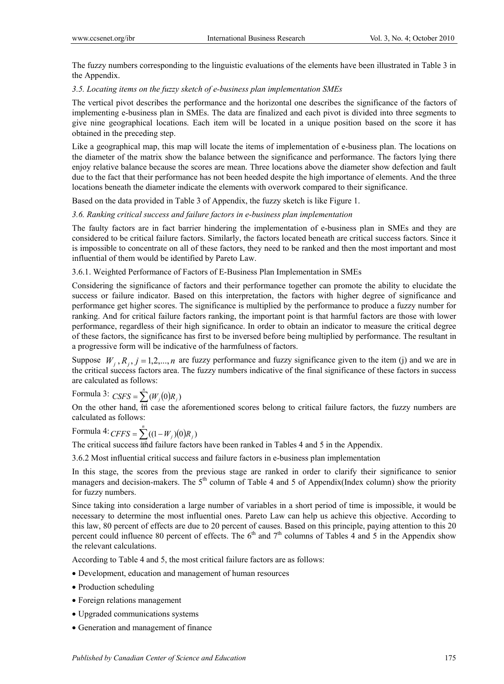The fuzzy numbers corresponding to the linguistic evaluations of the elements have been illustrated in Table 3 in the Appendix.

## *3.5. Locating items on the fuzzy sketch of e-business plan implementation SMEs*

The vertical pivot describes the performance and the horizontal one describes the significance of the factors of implementing e-business plan in SMEs. The data are finalized and each pivot is divided into three segments to give nine geographical locations. Each item will be located in a unique position based on the score it has obtained in the preceding step.

Like a geographical map, this map will locate the items of implementation of e-business plan. The locations on the diameter of the matrix show the balance between the significance and performance. The factors lying there enjoy relative balance because the scores are mean. Three locations above the diameter show defection and fault due to the fact that their performance has not been heeded despite the high importance of elements. And the three locations beneath the diameter indicate the elements with overwork compared to their significance.

Based on the data provided in Table 3 of Appendix, the fuzzy sketch is like Figure 1.

*3.6. Ranking critical success and failure factors in e-business plan implementation* 

The faulty factors are in fact barrier hindering the implementation of e-business plan in SMEs and they are considered to be critical failure factors. Similarly, the factors located beneath are critical success factors. Since it is impossible to concentrate on all of these factors, they need to be ranked and then the most important and most influential of them would be identified by Pareto Law.

3.6.1. Weighted Performance of Factors of E-Business Plan Implementation in SMEs

Considering the significance of factors and their performance together can promote the ability to elucidate the success or failure indicator. Based on this interpretation, the factors with higher degree of significance and performance get higher scores. The significance is multiplied by the performance to produce a fuzzy number for ranking. And for critical failure factors ranking, the important point is that harmful factors are those with lower performance, regardless of their high significance. In order to obtain an indicator to measure the critical degree of these factors, the significance has first to be inversed before being multiplied by performance. The resultant in a progressive form will be indicative of the harmfulness of factors.

Suppose  $W_i$ ,  $R_i$ ,  $j = 1,2,...,n$  are fuzzy performance and fuzzy significance given to the item (j) and we are in the critical success factors area. The fuzzy numbers indicative of the final significance of these factors in success are calculated as follows:

Formula 3:  $CSFS = \sum_{i=1}^{n} (W_i(0)R_i)$  $CSFS = \sum_{i=1}^{n} (W_i(0)R)$ 

On the other hand,  $\overline{m}$  case the aforementioned scores belong to critical failure factors, the fuzzy numbers are calculated as follows:

Formula 4:  $CFFS = \sum_{i=1}^{n} ((1 - W_{i}) (0) R_{i})$  $\mathbf{d}$  (1<sup>t</sup>  $\mathbf{d}$  foilure foote *n*  $CFFS = \sum_{j} ((1 - W_j)(0)R$ <br>success *ling* foilure fect

The critical success and failure factors have been ranked in Tables 4 and 5 in the Appendix.

3.6.2 Most influential critical success and failure factors in e-business plan implementation

In this stage, the scores from the previous stage are ranked in order to clarify their significance to senior managers and decision-makers. The 5<sup>th</sup> column of Table 4 and 5 of Appendix(Index column) show the priority for fuzzy numbers.

Since taking into consideration a large number of variables in a short period of time is impossible, it would be necessary to determine the most influential ones. Pareto Law can help us achieve this objective. According to this law, 80 percent of effects are due to 20 percent of causes. Based on this principle, paying attention to this 20 percent could influence 80 percent of effects. The  $6<sup>th</sup>$  and  $7<sup>th</sup>$  columns of Tables 4 and 5 in the Appendix show the relevant calculations.

According to Table 4 and 5, the most critical failure factors are as follows:

- Development, education and management of human resources
- Production scheduling
- Foreign relations management
- Upgraded communications systems
- Generation and management of finance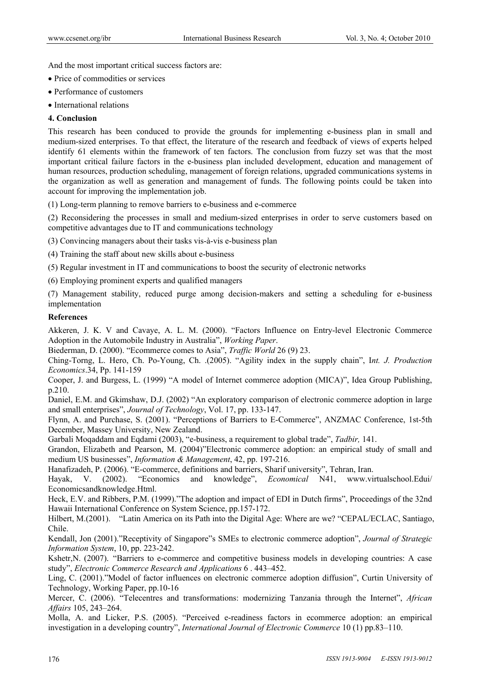And the most important critical success factors are:

- Price of commodities or services
- Performance of customers
- International relations

#### **4. Conclusion**

This research has been conduced to provide the grounds for implementing e-business plan in small and medium-sized enterprises. To that effect, the literature of the research and feedback of views of experts helped identify 61 elements within the framework of ten factors. The conclusion from fuzzy set was that the most important critical failure factors in the e-business plan included development, education and management of human resources, production scheduling, management of foreign relations, upgraded communications systems in the organization as well as generation and management of funds. The following points could be taken into account for improving the implementation job.

(1) Long-term planning to remove barriers to e-business and e-commerce

(2) Reconsidering the processes in small and medium-sized enterprises in order to serve customers based on competitive advantages due to IT and communications technology

(3) Convincing managers about their tasks vis-à-vis e-business plan

(4) Training the staff about new skills about e-business

(5) Regular investment in IT and communications to boost the security of electronic networks

(6) Employing prominent experts and qualified managers

(7) Management stability, reduced purge among decision-makers and setting a scheduling for e-business implementation

#### **References**

Akkeren, J. K. V and Cavaye, A. L. M. (2000). "Factors Influence on Entry-level Electronic Commerce Adoption in the Automobile Industry in Australia", *Working Paper*.

Biederman, D. (2000). "Ecommerce comes to Asia", *Traffic World* 26 (9) 23.

Ching-Torng, L. Hero, Ch. Po-Young, Ch. .(2005). "Agility index in the supply chain", I*nt. J. Production Economics*.34, Pp. 141-159

Cooper, J. and Burgess, L. (1999) "A model of Internet commerce adoption (MICA)", Idea Group Publishing, p.210.

Daniel, E.M. and Gkimshaw, D.J. (2002) "An exploratory comparison of electronic commerce adoption in large and small enterprises", *Journal of Technology*, Vol. 17, pp. 133-147.

Flynn, A. and Purchase, S. (2001). "Perceptions of Barriers to E-Commerce", ANZMAC Conference, 1st-5th December, Massey University, New Zealand.

Garbali Moqaddam and Eqdami (2003), "e-business, a requirement to global trade", *Tadbir,* 141.

Grandon, Elizabeth and Pearson, M. (2004)"Electronic commerce adoption: an empirical study of small and medium US businesses", *Information & Management*, 42, pp. 197-216.

Hanafizadeh, P. (2006). "E-commerce, definitions and barriers, Sharif university", Tehran, Iran.

Hayak, V. (2002). "Economics and knowledge", *Economical* N41, www.virtualschool.Edui/ Economicsandknowledge.Html.

Heck, E.V. and Ribbers, P.M. (1999)."The adoption and impact of EDI in Dutch firms", Proceedings of the 32nd Hawaii International Conference on System Science, pp.157-172.

Hilbert, M.(2001). "Latin America on its Path into the Digital Age: Where are we? "CEPAL/ECLAC, Santiago, Chile.

Kendall, Jon (2001)."Receptivity of Singapore"s SMEs to electronic commerce adoption", *Journal of Strategic Information System*, 10, pp. 223-242.

Kshetr,N. (2007). "Barriers to e-commerce and competitive business models in developing countries: A case study", *Electronic Commerce Research and Applications* 6 . 443–452.

Ling, C. (2001)."Model of factor influences on electronic commerce adoption diffusion", Curtin University of Technology, Working Paper, pp.10-16

Mercer, C. (2006). "Telecentres and transformations: modernizing Tanzania through the Internet", *African Affairs* 105, 243–264.

Molla, A. and Licker, P.S. (2005). "Perceived e-readiness factors in ecommerce adoption: an empirical investigation in a developing country", *International Journal of Electronic Commerce* 10 (1) pp.83–110.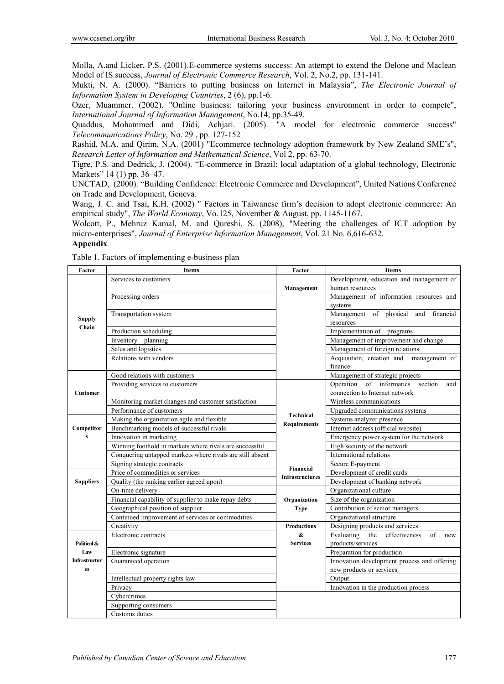Molla, A.and Licker, P.S. (2001).E-commerce systems success: An attempt to extend the Delone and Maclean Model of IS success, *Journal of Electronic Commerce Research*, Vol. 2, No.2, pp. 131-141.

Mukti, N. A. (2000). "Barriers to putting business on Internet in Malaysia", *The Electronic Journal of Information System in Developing Countries*, 2 (6), pp.1-6.

Ozer, Muammer. (2002). "Online business: tailoring your business environment in order to compete", *International Journal of Information Management*, No.14, pp.35-49.

Quaddus, Mohammed and Didi, Achjari. (2005). "A model for electronic commerce success" *Telecommunications Policy*, No. 29 , pp. 127-152

Rashid, M.A. and Qirim, N.A. (2001) "Ecommerce technology adoption framework by New Zealand SME's", *Research Letter of Information and Mathematical Science*, Vol 2, pp. 63-70.

Tigre, P.S. and Dedrick, J. (2004). "E-commerce in Brazil: local adaptation of a global technology, Electronic Markets" 14 (1) pp. 36–47.

UNCTAD, (2000). "Building Confidence: Electronic Commerce and Development", United Nations Conference on Trade and Development, Geneva.

Wang, J. C. and Tsai, K.H. (2002) " Factors in Taiwanese firm's decision to adopt electronic commerce: An empirical study", *The World Economy*, Vo. l25, November & August, pp. 1145-1167.

Wolcott, P., Mehruz Kamal, M. and Qureshi, S. (2008), "Meeting the challenges of ICT adoption by micro-enterprises", *Journal of Enterprise Information Management*, Vol. 21 No. 6,616-632.

## **Appendix**

Table 1. Factors of implementing e-business plan

| Factor               | <b>Items</b>                                              | Factor                 | <b>Items</b>                                 |  |
|----------------------|-----------------------------------------------------------|------------------------|----------------------------------------------|--|
|                      | Services to customers                                     |                        | Development, education and management of     |  |
|                      |                                                           | Management             | human resources                              |  |
|                      | Processing orders                                         |                        | Management of information resources and      |  |
|                      |                                                           |                        | systems                                      |  |
| <b>Supply</b>        | Transportation system                                     |                        | Management of physical and financial         |  |
| Chain                |                                                           |                        | resources                                    |  |
|                      | Production scheduling                                     |                        | Implementation of programs                   |  |
|                      | Inventory planning                                        |                        | Management of improvement and change         |  |
|                      | Sales and logistics                                       |                        | Management of foreign relations              |  |
|                      | Relations with vendors                                    |                        | Acquisition, creation and management of      |  |
|                      |                                                           |                        | finance                                      |  |
|                      | Good relations with customers                             |                        | Management of strategic projects             |  |
|                      | Providing services to customers                           |                        | Operation of informatics<br>section<br>and   |  |
| <b>Customer</b>      |                                                           |                        | connection to Internet network               |  |
|                      | Monitoring market changes and customer satisfaction       |                        | Wireless communications                      |  |
|                      | Performance of customers                                  | <b>Technical</b>       | Upgraded communications systems              |  |
|                      | Making the organization agile and flexible                | <b>Requirements</b>    | Systems analyzer presence                    |  |
| Competitor           | Benchmarking models of successful rivals                  |                        | Internet address (official website)          |  |
| Ś                    | Innovation in marketing                                   |                        | Emergency power system for the network       |  |
|                      | Winning foothold in markets where rivals are successful   |                        | High security of the network                 |  |
|                      | Conquering untapped markets where rivals are still absent |                        | International relations                      |  |
|                      | Signing strategic contracts                               | Financial              | Secure E-payment                             |  |
|                      | Price of commodities or services                          | <b>Infrastructures</b> | Development of credit cards                  |  |
| <b>Suppliers</b>     | Quality (the ranking earlier agreed upon)                 |                        | Development of banking network               |  |
|                      | On-time delivery                                          |                        | Organizational culture                       |  |
|                      | Financial capability of supplier to make repay debts      | Organization           | Size of the organization                     |  |
|                      | Geographical position of supplier                         | <b>Type</b>            | Contribution of senior managers              |  |
|                      | Continued improvement of services or commodities          |                        | Organizational structure                     |  |
|                      | Creativity                                                | <b>Productions</b>     | Designing products and services              |  |
|                      | Electronic contracts                                      | &                      | Evaluating<br>the effectiveness<br>of<br>new |  |
| Political &          |                                                           | <b>Services</b>        | products/services                            |  |
| Law                  | Electronic signature                                      |                        | Preparation for production                   |  |
| <b>Infrastructur</b> | Guaranteed operation                                      |                        | Innovation development process and offering  |  |
| es                   |                                                           |                        | new products or services                     |  |
|                      | Intellectual property rights law                          |                        | Output                                       |  |
|                      | Privacy                                                   |                        | Innovation in the production process         |  |
|                      | Cybercrimes                                               |                        |                                              |  |
|                      | Supporting consumers                                      |                        |                                              |  |
|                      | Customs duties                                            |                        |                                              |  |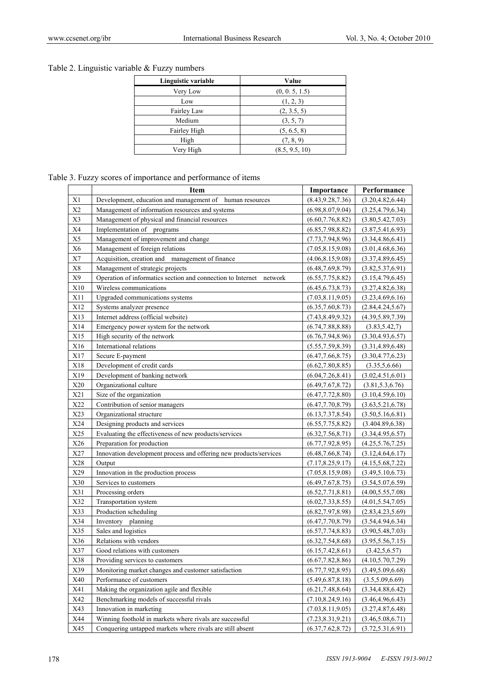## Table 2. Linguistic variable & Fuzzy numbers

| Linguistic variable | Value          |
|---------------------|----------------|
| Very Low            | (0, 0.5, 1.5)  |
| Low                 | (1, 2, 3)      |
| Fairley Law         | (2, 3.5, 5)    |
| Medium              | (3, 5, 7)      |
| Fairley High        | (5, 6.5, 8)    |
| High                | (7, 8, 9)      |
| Very High           | (8.5, 9.5, 10) |

Table 3. Fuzzy scores of importance and performance of items

|                | <b>Item</b>                                                            | Importance         | Performance        |
|----------------|------------------------------------------------------------------------|--------------------|--------------------|
| X1             | Development, education and management of human resources               | (8.43, 9.28, 7.36) | (3.20, 4.82, 6.44) |
| X <sub>2</sub> | Management of information resources and systems                        | (6.98, 8.07, 9.04) | (3.25, 4.79, 6.34) |
| X3             | Management of physical and financial resources                         | (6.60, 7.76, 8.82) | (3.80, 5.42, 7.03) |
| X4             | Implementation of programs                                             | (6.85, 7.98, 8.82) | (3.87, 5.41, 6.93) |
| X5             | Management of improvement and change                                   | (7.73, 7.94, 8.96) | (3.34, 4.86, 6.41) |
| X <sub>6</sub> | Management of foreign relations                                        | (7.05, 8.15, 9.08) | (3.01, 4.68, 6.36) |
| X7             | Acquisition, creation and management of finance                        | (4.06, 8.15, 9.08) | (3.37, 4.89, 6.45) |
| X8             | Management of strategic projects                                       | (6.48, 7.69, 8.79) | (3.82, 5.37, 6.91) |
| X9             | Operation of informatics section and connection to Internet<br>network | (6.55, 7.75, 8.82) | (3.15, 4.79, 6.45) |
| X10            | Wireless communications                                                | (6.45, 6.73, 8.73) | (3.27, 4.82, 6.38) |
| X11            | Upgraded communications systems                                        | (7.03, 8.11, 9.05) | (3.23, 4.69, 6.16) |
| X12            | Systems analyzer presence                                              | (6.35, 7.60, 8.73) | (2.84, 4.24, 5.67) |
| X13            | Internet address (official website)                                    | (7.43, 8.49, 9.32) | (4.39, 5.89, 7.39) |
| X14            | Emergency power system for the network                                 | (6.74, 7.88, 8.88) | (3.83, 5.42, 7)    |
| X15            | High security of the network                                           | (6.76, 7.94, 8.96) | (3.30, 4.93, 6.57) |
| X16            | International relations                                                | (5.55, 7.59, 8.39) | (3.31, 4.89, 6.48) |
| X17            | Secure E-payment                                                       | (6.47, 7.66, 8.75) | (3.30, 4.77, 6.23) |
| X18            | Development of credit cards                                            | (6.62, 7.80, 8.85) | (3.35, 5, 6.66)    |
| X19            | Development of banking network                                         | (6.04, 7.26, 8.41) | (3.02, 4.51, 6.01) |
| X20            | Organizational culture                                                 | (6.49, 7.67, 8.72) | (3.81, 5.3, 6.76)  |
| X21            | Size of the organization                                               | (6.47, 7.72, 8.80) | (3.10, 4.59, 6.10) |
| X22            | Contribution of senior managers                                        | (6.47, 7.70, 8.79) | (3.63, 5.21, 6.78) |
| X23            | Organizational structure                                               | (6.13, 7.37, 8.54) | (3.50, 5.16, 6.81) |
| X24            | Designing products and services                                        | (6.55, 7.75, 8.82) | (3.404.89, 6.38)   |
| X25            | Evaluating the effectiveness of new products/services                  | (6.32, 7.56, 8.71) | (3.34, 4.95, 6.57) |
| X26            | Preparation for production                                             | (6.77, 7.92, 8.95) | (4.25, 5.76, 7.25) |
| X27            | Innovation development process and offering new products/services      | (6.48, 7.66, 8.74) | (3.12, 4.64, 6.17) |
| X28            | Output                                                                 | (7.17, 8.25, 9.17) | (4.15, 5.68, 7.22) |
| X29            | Innovation in the production process                                   | (7.05, 8.15, 9.08) | (3.49, 5.10, 6.73) |
| X30            | Services to customers                                                  | (6.49, 7.67, 8.75) | (3.54, 5.07, 6.59) |
| X31            | Processing orders                                                      | (6.52, 7.71, 8.81) | (4.00, 5.55, 7.08) |
| X32            | Transportation system                                                  | (6.02, 7.33, 8.55) | (4.01, 5.54, 7.05) |
| X33            | Production scheduling                                                  | (6.82, 7.97, 8.98) | (2.83, 4.23, 5.69) |
| X34            | Inventory planning                                                     | (6.47, 7.70, 8.79) | (3.54, 4.94, 6.34) |
| X35            | Sales and logistics                                                    | (6.57, 7.74, 8.83) | (3.90, 5.48, 7.03) |
| X36            | Relations with vendors                                                 | (6.32, 7.54, 8.68) | (3.95, 5.56, 7.15) |
| X37            | Good relations with customers                                          | (6.15, 7.42, 8.61) | (3.42, 5, 6.57)    |
| X38            | Providing services to customers                                        | (6.67, 7.82, 8.86) | (4.10, 5.70, 7.29) |
| X39            | Monitoring market changes and customer satisfaction                    | (6.77, 7.92, 8.95) | (3.49, 5.09, 6.68) |
| X40            | Performance of customers                                               | (5.49, 6.87, 8.18) | (3.5,5.09,6.69)    |
| X41            | Making the organization agile and flexible                             | (6.21, 7.48, 8.64) | (3.34, 4.88, 6.42) |
| X42            | Benchmarking models of successful rivals                               | (7.10, 8.24, 9.16) | (3.46, 4.96, 6.43) |
| X43            | Innovation in marketing                                                | (7.03, 8.11, 9.05) | (3.27, 4.87, 6.48) |
| X44            | Winning foothold in markets where rivals are successful                | (7.23, 8.31, 9.21) | (3.46, 5.08, 6.71) |
| X45            | Conquering untapped markets where rivals are still absent              | (6.37, 7.62, 8.72) | (3.72, 5.31, 6.91) |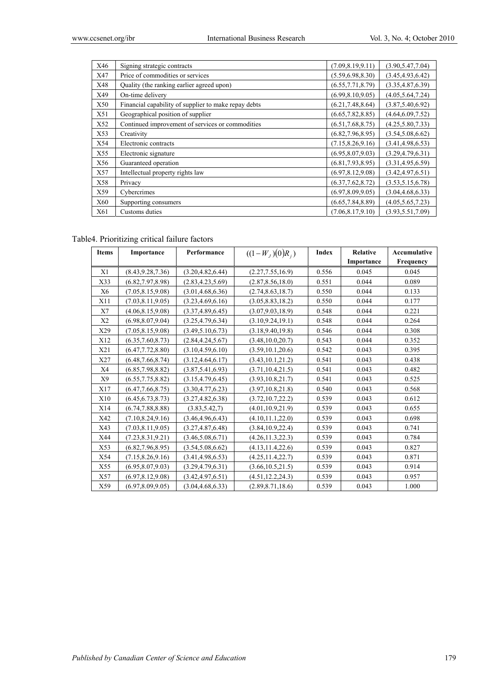| X46        | Signing strategic contracts                          | (7.09, 8.19, 9.11) | (3.90, 5.47, 7.04) |
|------------|------------------------------------------------------|--------------------|--------------------|
| X47        | Price of commodities or services                     | (5.59, 6.98, 8.30) | (3.45, 4.93, 6.42) |
| X48        | Quality (the ranking earlier agreed upon)            | (6.55, 7.71, 8.79) | (3.35, 4.87, 6.39) |
| X49        | On-time delivery                                     | (6.99, 8.10, 9.05) | (4.05, 5.64, 7.24) |
| X50        | Financial capability of supplier to make repay debts | (6.21, 7.48, 8.64) | (3.87, 5.40, 6.92) |
| X51        | Geographical position of supplier                    | (6.65, 7.82, 8.85) | (4.64, 6.09, 7.52) |
| X52        | Continued improvement of services or commodities     | (6.51, 7.68, 8.75) | (4.25, 5.80, 7.33) |
| X53        | Creativity                                           | (6.82, 7.96, 8.95) | (3.54, 5.08, 6.62) |
| X54        | Electronic contracts                                 | (7.15, 8.26, 9.16) | (3.41, 4.98, 6.53) |
| X55        | Electronic signature                                 | (6.95, 8.07, 9.03) | (3.29, 4.79, 6.31) |
| X56        | Guaranteed operation                                 | (6.81, 7.93, 8.95) | (3.31, 4.95, 6.59) |
| X57        | Intellectual property rights law                     | (6.97, 8.12, 9.08) | (3.42, 4.97, 6.51) |
| X58        | Privacy                                              | (6.37, 7.62, 8.72) | (3.53, 5.15, 6.78) |
| X59        | Cybercrimes                                          | (6.97, 8.09, 9.05) | (3.04, 4.68, 6.33) |
| <b>X60</b> | Supporting consumers                                 | (6.65, 7.84, 8.89) | (4.05, 5.65, 7.23) |
| X61        | Customs duties                                       | (7.06, 8.17, 9.10) | (3.93, 5.51, 7.09) |

Table4. Prioritizing critical failure factors

| <b>Items</b> | Importance         | Performance        | $((1-W_{J})(0)R_{J})$ | <b>Index</b> | <b>Relative</b> | Accumulative |
|--------------|--------------------|--------------------|-----------------------|--------------|-----------------|--------------|
|              |                    |                    |                       |              | Importance      | Frequency    |
| X1           | (8.43, 9.28, 7.36) | (3.20, 4.82, 6.44) | (2.27, 7.55, 16.9)    | 0.556        | 0.045           | 0.045        |
| X33          | (6.82, 7.97, 8.98) | (2.83, 4.23, 5.69) | (2.87, 8.56, 18.0)    | 0.551        | 0.044           | 0.089        |
| X6           | (7.05, 8.15, 9.08) | (3.01, 4.68, 6.36) | (2.74, 8.63, 18.7)    | 0.550        | 0.044           | 0.133        |
| X11          | (7.03, 8.11, 9.05) | (3.23, 4.69, 6.16) | (3.05, 8.83, 18.2)    | 0.550        | 0.044           | 0.177        |
| X7           | (4.06, 8.15, 9.08) | (3.37, 4.89, 6.45) | (3.07, 9.03, 18.9)    | 0.548        | 0.044           | 0.221        |
| X2           | (6.98, 8.07, 9.04) | (3.25, 4.79, 6.34) | (3.10, 9.24, 19.1)    | 0.548        | 0.044           | 0.264        |
| X29          | (7.05, 8.15, 9.08) | (3.49, 5.10, 6.73) | (3.18, 9.40, 19.8)    | 0.546        | 0.044           | 0.308        |
| X12          | (6.35, 7.60, 8.73) | (2.84, 4.24, 5.67) | (3.48, 10.0, 20.7)    | 0.543        | 0.044           | 0.352        |
| X21          | (6.47, 7.72, 8.80) | (3.10, 4.59, 6.10) | (3.59, 10.1, 20.6)    | 0.542        | 0.043           | 0.395        |
| X27          | (6.48, 7.66, 8.74) | (3.12, 4.64, 6.17) | (3.43, 10.1, 21.2)    | 0.541        | 0.043           | 0.438        |
| X4           | (6.85, 7.98, 8.82) | (3.87, 5.41, 6.93) | (3.71, 10.4, 21.5)    | 0.541        | 0.043           | 0.482        |
| X9           | (6.55, 7.75, 8.82) | (3.15, 4.79, 6.45) | (3.93, 10.8, 21.7)    | 0.541        | 0.043           | 0.525        |
| X17          | (6.47, 7.66, 8.75) | (3.30, 4.77, 6.23) | (3.97, 10.8, 21.8)    | 0.540        | 0.043           | 0.568        |
| X10          | (6.45, 6.73, 8.73) | (3.27, 4.82, 6.38) | (3.72, 10.7, 22.2)    | 0.539        | 0.043           | 0.612        |
| X14          | (6.74, 7.88, 8.88) | (3.83, 5.42, 7)    | (4.01, 10.9, 21.9)    | 0.539        | 0.043           | 0.655        |
| X42          | (7.10, 8.24, 9.16) | (3.46, 4.96, 6.43) | (4.10, 11.1, 22.0)    | 0.539        | 0.043           | 0.698        |
| X43          | (7.03, 8.11, 9.05) | (3.27, 4.87, 6.48) | (3.84, 10.9, 22.4)    | 0.539        | 0.043           | 0.741        |
| X44          | (7.23, 8.31, 9.21) | (3.46, 5.08, 6.71) | (4.26, 11.3, 22.3)    | 0.539        | 0.043           | 0.784        |
| X53          | (6.82, 7.96, 8.95) | (3.54, 5.08, 6.62) | (4.13, 11.4, 22.6)    | 0.539        | 0.043           | 0.827        |
| X54          | (7.15, 8.26, 9.16) | (3.41, 4.98, 6.53) | (4.25, 11.4, 22.7)    | 0.539        | 0.043           | 0.871        |
| X55          | (6.95, 8.07, 9.03) | (3.29, 4.79, 6.31) | (3.66, 10.5, 21.5)    | 0.539        | 0.043           | 0.914        |
| X57          | (6.97, 8.12, 9.08) | (3.42, 4.97, 6.51) | (4.51, 12.2, 24.3)    | 0.539        | 0.043           | 0.957        |
| X59          | (6.97, 8.09, 9.05) | (3.04, 4.68, 6.33) | (2.89, 8.71, 18.6)    | 0.539        | 0.043           | 1.000        |